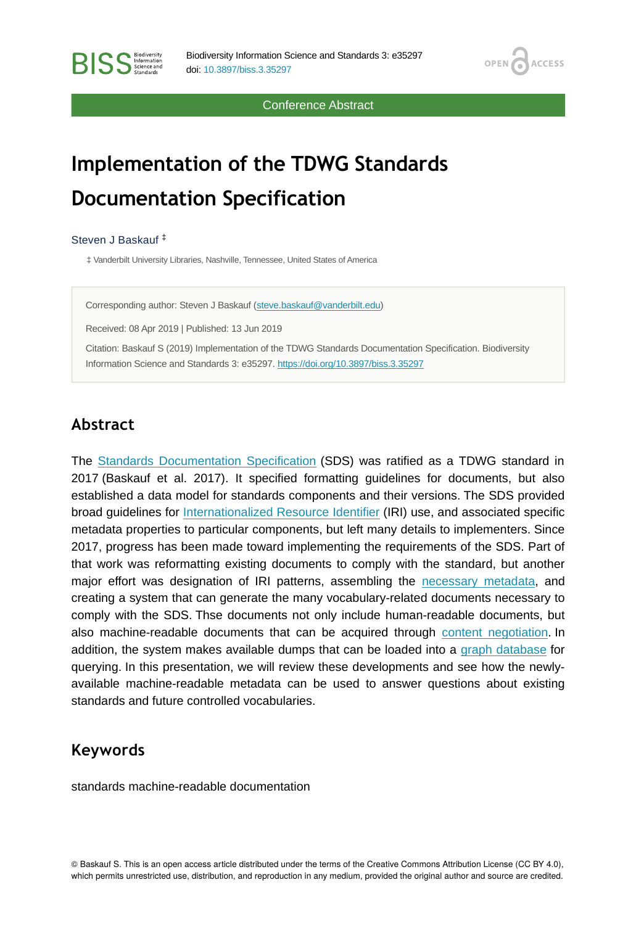Conference Abstract

OPEN<sub>C</sub>

**ACCESS** 

# **Implementation of the TDWG Standards Documentation Specification**

Steven J Baskauf ‡

**RISS** Science and

‡ Vanderbilt University Libraries, Nashville, Tennessee, United States of America

Corresponding author: Steven J Baskauf ([steve.baskauf@vanderbilt.edu\)](mailto:steve.baskauf@vanderbilt.edu)

Received: 08 Apr 2019 | Published: 13 Jun 2019

Citation: Baskauf S (2019) Implementation of the TDWG Standards Documentation Specification. Biodiversity Information Science and Standards 3: e35297.<https://doi.org/10.3897/biss.3.35297>

#### **Abstract**

The [Standards Documentation Specification](https://github.com/tdwg/vocab/blob/master/sds/documentation-specification.md) (SDS) was ratified as a TDWG standard in 2017 (Baskauf et al. 2017). It specified formatting guidelines for documents, but also established a data model for standards components and their versions. The SDS provided broad guidelines for [Internationalized Resource Identifier](https://tools.ietf.org/html/rfc3987) (IRI) use, and associated specific metadata properties to particular components, but left many details to implementers. Since 2017, progress has been made toward implementing the requirements of the SDS. Part of that work was reformatting existing documents to comply with the standard, but another major effort was designation of IRI patterns, assembling the [necessary metadata](https://github.com/tdwg/rs.tdwg.org), and creating a system that can generate the many vocabulary-related documents necessary to comply with the SDS. Thse documents not only include human-readable documents, but also machine-readable documents that can be acquired through [content negotiation.](https://en.wikipedia.org/wiki/Content_negotiation) In addition, the system makes available dumps that can be loaded into a [graph database](https://en.wikipedia.org/wiki/Graph_database) for querying. In this presentation, we will review these developments and see how the newlyavailable machine-readable metadata can be used to answer questions about existing standards and future controlled vocabularies.

#### **Keywords**

standards machine-readable documentation